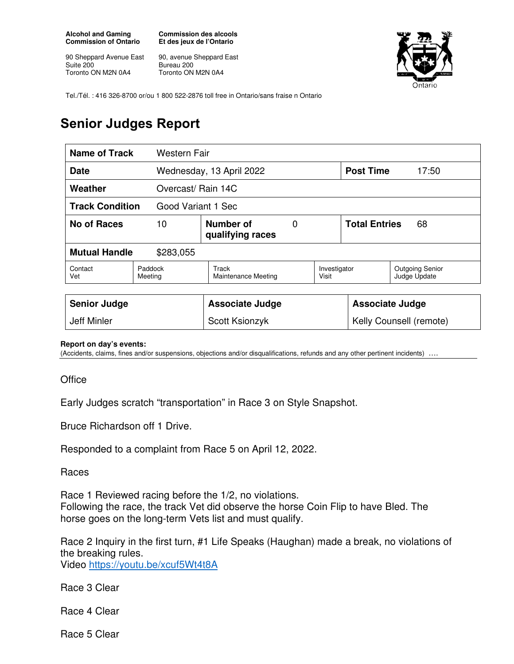**Alcohol and Gaming Commission of Ontario** 

90 Sheppard Avenue East Suite 200 Toronto ON M2N 0A4

**Commission des alcools Et des jeux de l'Ontario** 

90, avenue Sheppard East Bureau 200 Toronto ON M2N 0A4



Tel./Tél. : 416 326-8700 or/ou 1 800 522-2876 toll free in Ontario/sans fraise n Ontario

## **Senior Judges Report**

| <b>Name of Track</b><br>Western Fair         |                    |                                     |   |                         |                            |                                        |
|----------------------------------------------|--------------------|-------------------------------------|---|-------------------------|----------------------------|----------------------------------------|
| Date                                         |                    | Wednesday, 13 April 2022            |   |                         | <b>Post Time</b><br>17:50  |                                        |
| Weather<br>Overcast/ Rain 14C                |                    |                                     |   |                         |                            |                                        |
| <b>Track Condition</b><br>Good Variant 1 Sec |                    |                                     |   |                         |                            |                                        |
| <b>No of Races</b><br>10                     |                    | Number of<br>qualifying races       | 0 |                         | <b>Total Entries</b><br>68 |                                        |
| <b>Mutual Handle</b><br>\$283,055            |                    |                                     |   |                         |                            |                                        |
| Contact<br>Vet                               | Paddock<br>Meeting | Track<br><b>Maintenance Meeting</b> |   | Investigator<br>Visit   |                            | <b>Outgoing Senior</b><br>Judge Update |
|                                              |                    |                                     |   |                         |                            |                                        |
| <b>Senior Judge</b>                          |                    | <b>Associate Judge</b>              |   | <b>Associate Judge</b>  |                            |                                        |
| <b>Jeff Minler</b>                           |                    | Scott Ksionzyk                      |   | Kelly Counsell (remote) |                            |                                        |

## **Report on day's events:**

(Accidents, claims, fines and/or suspensions, objections and/or disqualifications, refunds and any other pertinent incidents) ….

**Office** 

Early Judges scratch "transportation" in Race 3 on Style Snapshot.

Bruce Richardson off 1 Drive.

Responded to a complaint from Race 5 on April 12, 2022.

**Races** 

Race 1 Reviewed racing before the 1/2, no violations. Following the race, the track Vet did observe the horse Coin Flip to have Bled. The horse goes on the long-term Vets list and must qualify.

Race 2 Inquiry in the first turn, #1 Life Speaks (Haughan) made a break, no violations of the breaking rules. Video https://youtu.be/xcuf5Wt4t8A

Race 3 Clear

Race 4 Clear

Race 5 Clear